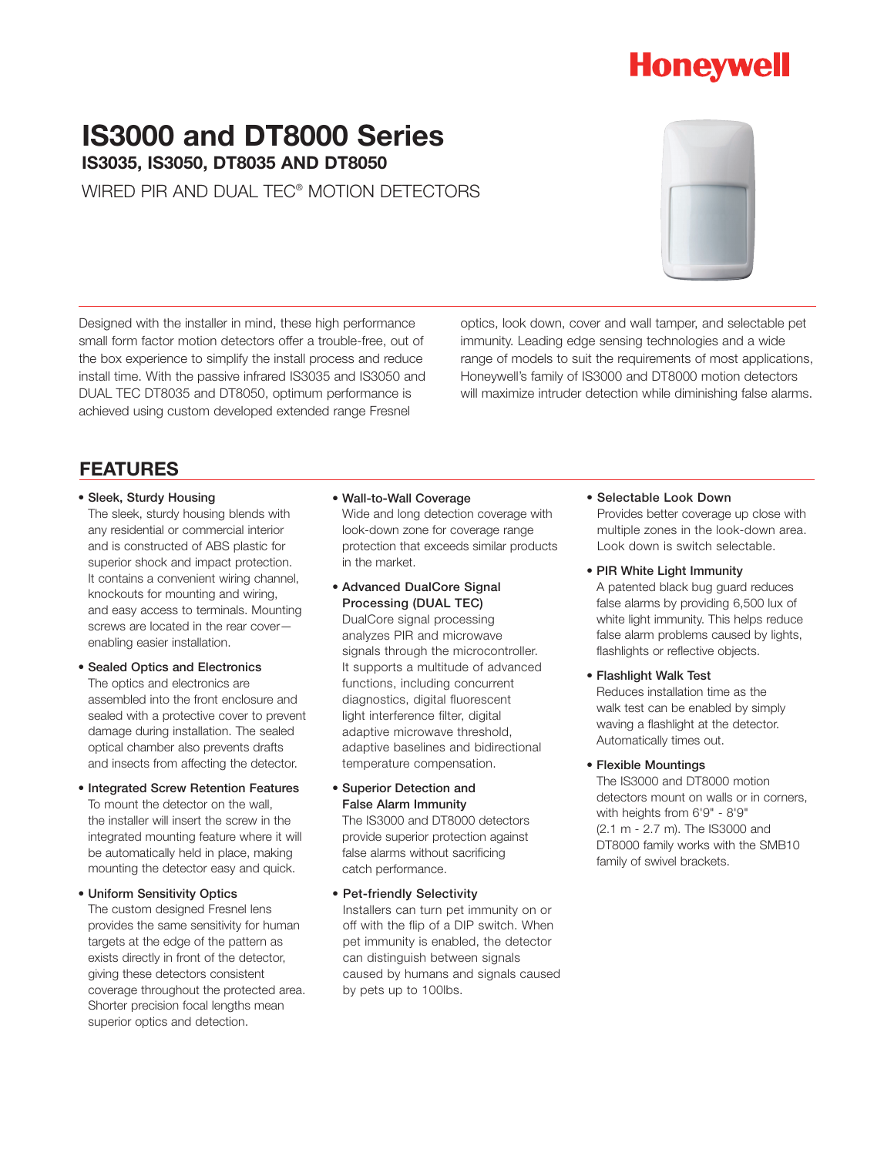# **Honeywell**

# **IS3000 and DT8000 Series IS3035, IS3050, DT8035 AND DT8050**

WIRED PIR AND DUAL TEC® MOTION DETECTORS

Designed with the installer in mind, these high performance small form factor motion detectors offer a trouble-free, out of the box experience to simplify the install process and reduce install time. With the passive infrared IS3035 and IS3050 and DUAL TEC DT8035 and DT8050, optimum performance is achieved using custom developed extended range Fresnel

optics, look down, cover and wall tamper, and selectable pet immunity. Leading edge sensing technologies and a wide range of models to suit the requirements of most applications, Honeywell's family of IS3000 and DT8000 motion detectors will maximize intruder detection while diminishing false alarms.

### **FEATURES**

### • Sleek, Sturdy Housing

The sleek, sturdy housing blends with any residential or commercial interior and is constructed of ABS plastic for superior shock and impact protection. It contains a convenient wiring channel, knockouts for mounting and wiring, and easy access to terminals. Mounting screws are located in the rear cover enabling easier installation.

### • Sealed Optics and Electronics The optics and electronics are assembled into the front enclosure and sealed with a protective cover to prevent damage during installation. The sealed optical chamber also prevents drafts and insects from affecting the detector.

• Integrated Screw Retention Features To mount the detector on the wall, the installer will insert the screw in the integrated mounting feature where it will be automatically held in place, making mounting the detector easy and quick.

### • Uniform Sensitivity Optics The custom designed Fresnel lens provides the same sensitivity for human targets at the edge of the pattern as exists directly in front of the detector, giving these detectors consistent coverage throughout the protected area. Shorter precision focal lengths mean superior optics and detection.

- Wall-to-Wall Coverage Wide and long detection coverage with look-down zone for coverage range protection that exceeds similar products in the market.
- Advanced DualCore Signal Processing (DUAL TEC)

DualCore signal processing analyzes PIR and microwave signals through the microcontroller. It supports a multitude of advanced functions, including concurrent diagnostics, digital fluorescent light interference filter, digital adaptive microwave threshold, adaptive baselines and bidirectional temperature compensation.

• Superior Detection and False Alarm Immunity

The IS3000 and DT8000 detectors provide superior protection against false alarms without sacrificing catch performance.

• Pet-friendly Selectivity Installers can turn pet immunity on or off with the flip of a DIP switch. When pet immunity is enabled, the detector can distinguish between signals caused by humans and signals caused by pets up to 100lbs.

### • Selectable Look Down

Provides better coverage up close with multiple zones in the look-down area. Look down is switch selectable.

• PIR White Light Immunity

A patented black bug guard reduces false alarms by providing 6,500 lux of white light immunity. This helps reduce false alarm problems caused by lights, flashlights or reflective objects.

• Flashlight Walk Test

Reduces installation time as the walk test can be enabled by simply waving a flashlight at the detector. Automatically times out.

• Flexible Mountings

The IS3000 and DT8000 motion detectors mount on walls or in corners, with heights from 6'9" - 8'9" (2.1 m - 2.7 m). The IS3000 and DT8000 family works with the SMB10 family of swivel brackets.

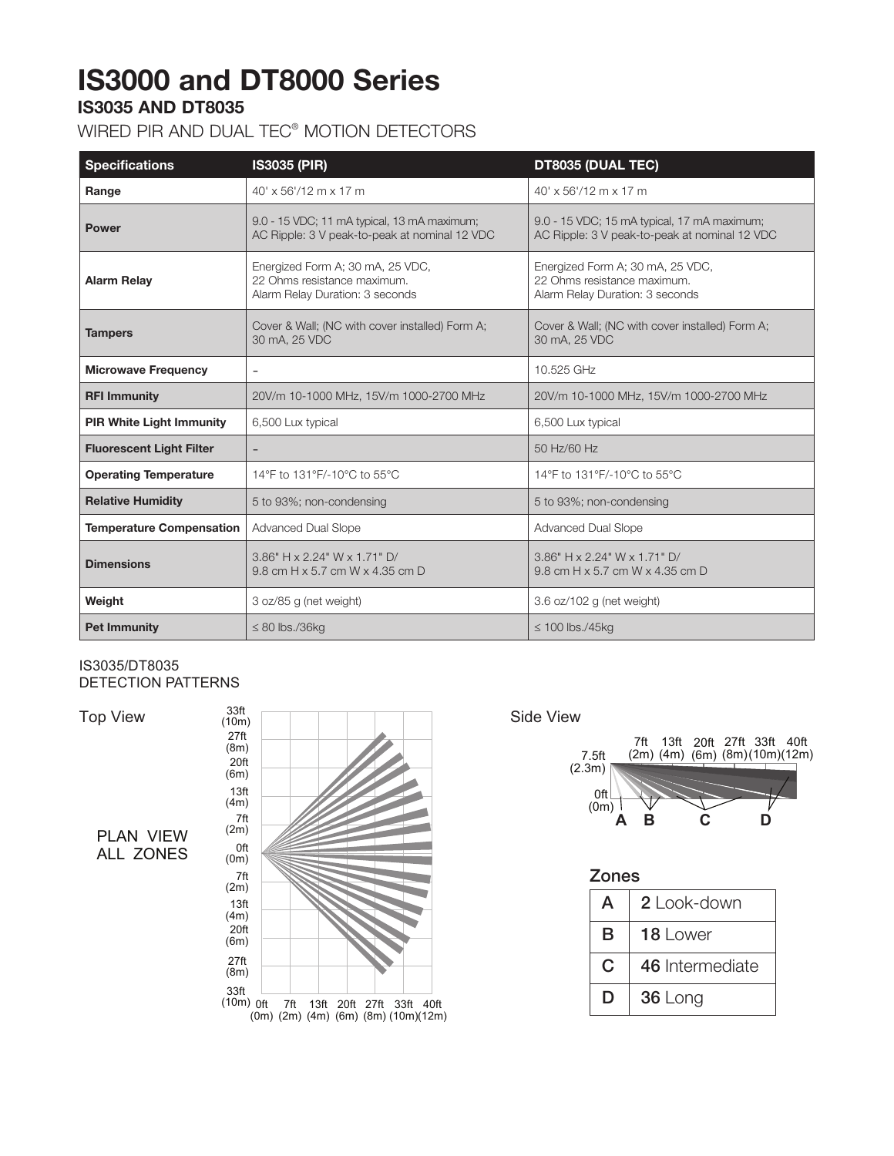# **IS3000 and DT8000 Series**

## **IS3035 AND DT8035**

## WIRED PIR AND DUAL TEC® MOTION DETECTORS

| <b>Specifications</b>           | <b>IS3035 (PIR)</b>                                                                                | DT8035 (DUAL TEC)                                                                                  |
|---------------------------------|----------------------------------------------------------------------------------------------------|----------------------------------------------------------------------------------------------------|
| Range                           | 40' x 56'/12 m x 17 m                                                                              | 40' x 56'/12 m x 17 m                                                                              |
| <b>Power</b>                    | 9.0 - 15 VDC; 11 mA typical, 13 mA maximum;<br>AC Ripple: 3 V peak-to-peak at nominal 12 VDC       | 9.0 - 15 VDC; 15 mA typical, 17 mA maximum;<br>AC Ripple: 3 V peak-to-peak at nominal 12 VDC       |
| <b>Alarm Relay</b>              | Energized Form A; 30 mA, 25 VDC,<br>22 Ohms resistance maximum.<br>Alarm Relay Duration: 3 seconds | Energized Form A; 30 mA, 25 VDC,<br>22 Ohms resistance maximum.<br>Alarm Relay Duration: 3 seconds |
| <b>Tampers</b>                  | Cover & Wall; (NC with cover installed) Form A;<br>30 mA, 25 VDC                                   | Cover & Wall; (NC with cover installed) Form A;<br>30 mA, 25 VDC                                   |
| <b>Microwave Frequency</b>      | $\overline{\phantom{a}}$                                                                           | 10.525 GHz                                                                                         |
| <b>RFI Immunity</b>             | 20V/m 10-1000 MHz, 15V/m 1000-2700 MHz                                                             | 20V/m 10-1000 MHz, 15V/m 1000-2700 MHz                                                             |
| <b>PIR White Light Immunity</b> | 6,500 Lux typical                                                                                  | 6,500 Lux typical                                                                                  |
| <b>Fluorescent Light Filter</b> |                                                                                                    | 50 Hz/60 Hz                                                                                        |
| <b>Operating Temperature</b>    | 14°F to 131°F/-10°C to 55°C                                                                        | 14°F to 131°F/-10°C to 55°C                                                                        |
| <b>Relative Humidity</b>        | 5 to 93%; non-condensing                                                                           | 5 to 93%; non-condensing                                                                           |
| <b>Temperature Compensation</b> | Advanced Dual Slope                                                                                | Advanced Dual Slope                                                                                |
| <b>Dimensions</b>               | 3.86" H x 2.24" W x 1.71" D/<br>9.8 cm H x 5.7 cm W x 4.35 cm D                                    | $3.86"$ H x 2.24" W x 1.71" D/<br>9.8 cm H x 5.7 cm W x 4.35 cm D                                  |
| Weight                          | 3 oz/85 g (net weight)                                                                             | 3.6 oz/102 g (net weight)                                                                          |
| <b>Pet Immunity</b>             | $\leq$ 80 lbs./36kg                                                                                | $\leq$ 100 lbs./45kg                                                                               |

#### IS3035/DT8035 DETECTION PATTERNS IS3035/DTS1

Top View

PLAN VIEW ALL ZONES  $\frac{1-\nu}{1-\nu}$ 





| <b>Zones</b> |                 |  |
|--------------|-----------------|--|
| A            | 2 l ook-down    |  |
| B            | 18 Lower        |  |
| C            | 46 Intermediate |  |
| D            | 36 Long         |  |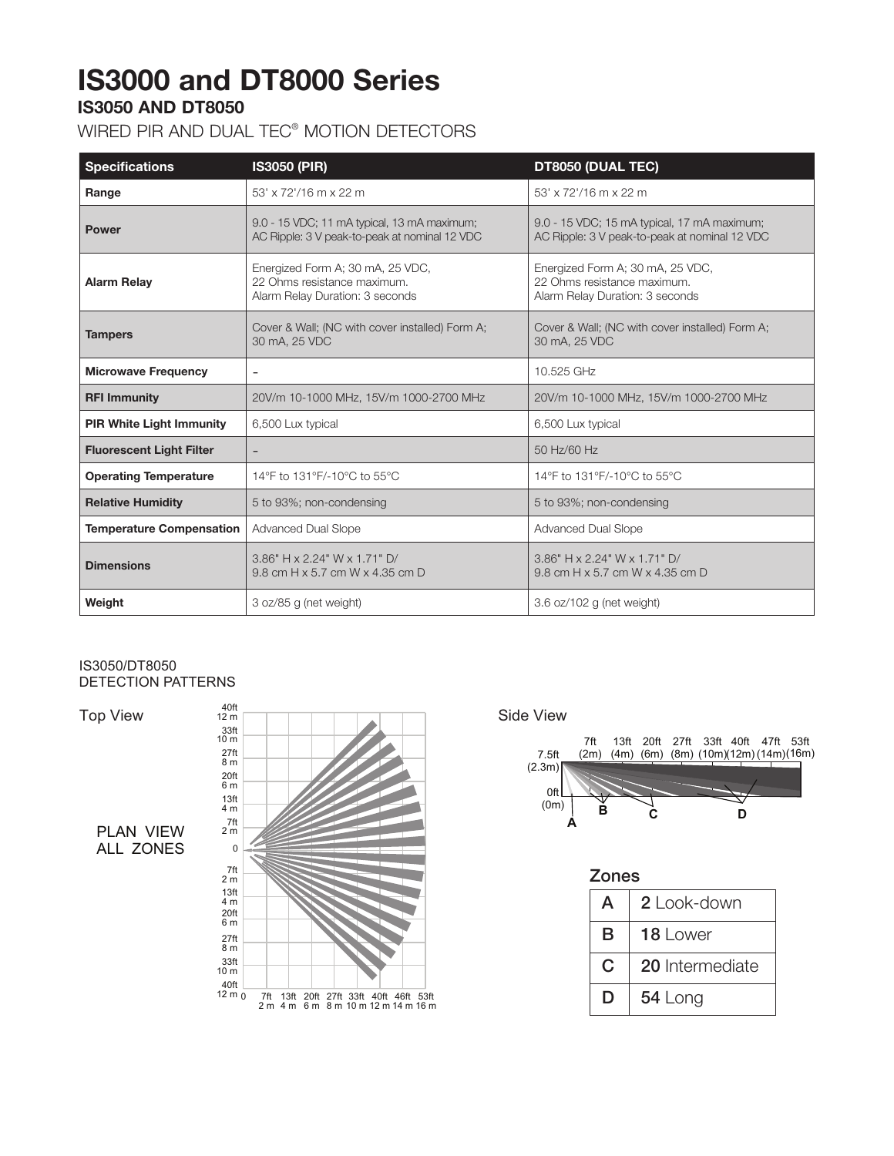# **IS3000 and DT8000 Series**

## **IS3050 AND DT8050**

## WIRED PIR AND DUAL TEC® MOTION DETECTORS

| <b>Specifications</b>           | <b>IS3050 (PIR)</b>                                                                                | DT8050 (DUAL TEC)                                                                                  |
|---------------------------------|----------------------------------------------------------------------------------------------------|----------------------------------------------------------------------------------------------------|
| Range                           | 53' x 72'/16 m x 22 m                                                                              | 53' x 72'/16 m x 22 m                                                                              |
| <b>Power</b>                    | 9.0 - 15 VDC; 11 mA typical, 13 mA maximum;<br>AC Ripple: 3 V peak-to-peak at nominal 12 VDC       | 9.0 - 15 VDC; 15 mA typical, 17 mA maximum;<br>AC Ripple: 3 V peak-to-peak at nominal 12 VDC       |
| <b>Alarm Relay</b>              | Energized Form A; 30 mA, 25 VDC,<br>22 Ohms resistance maximum.<br>Alarm Relay Duration: 3 seconds | Energized Form A; 30 mA, 25 VDC,<br>22 Ohms resistance maximum.<br>Alarm Relay Duration: 3 seconds |
| <b>Tampers</b>                  | Cover & Wall; (NC with cover installed) Form A;<br>30 mA, 25 VDC                                   | Cover & Wall; (NC with cover installed) Form A;<br>30 mA, 25 VDC                                   |
| <b>Microwave Frequency</b>      | $\overline{\phantom{a}}$                                                                           | 10.525 GHz                                                                                         |
| <b>RFI Immunity</b>             | 20V/m 10-1000 MHz, 15V/m 1000-2700 MHz                                                             | 20V/m 10-1000 MHz, 15V/m 1000-2700 MHz                                                             |
| <b>PIR White Light Immunity</b> | 6,500 Lux typical                                                                                  | 6,500 Lux typical                                                                                  |
| <b>Fluorescent Light Filter</b> |                                                                                                    | 50 Hz/60 Hz                                                                                        |
| <b>Operating Temperature</b>    | 14°F to 131°F/-10°C to 55°C                                                                        | 14°F to 131°F/-10°C to 55°C                                                                        |
| <b>Relative Humidity</b>        | 5 to 93%; non-condensing                                                                           | 5 to 93%; non-condensing                                                                           |
| <b>Temperature Compensation</b> | Advanced Dual Slope                                                                                | <b>Advanced Dual Slope</b>                                                                         |
| <b>Dimensions</b>               | 3.86" H x 2.24" W x 1.71" D/<br>9.8 cm H x 5.7 cm W x 4.35 cm D                                    | 3.86" H x 2.24" W x 1.71" D/<br>9.8 cm H x 5.7 cm W x 4.35 cm D                                    |
| Weight                          | 3 oz/85 g (net weight)                                                                             | 3.6 oz/102 g (net weight)                                                                          |

### IS3050/DT8050 DETECTION PATTERNS

Ton<sup>1</sup>